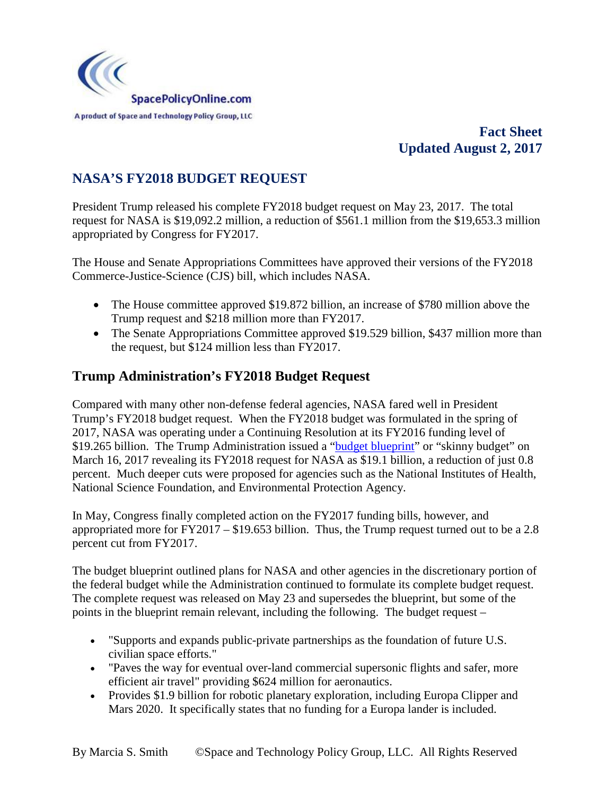

# **Fact Sheet Updated August 2, 2017**

# **NASA'S FY2018 BUDGET REQUEST**

President Trump released his complete FY2018 budget request on May 23, 2017. The total request for NASA is \$19,092.2 million, a reduction of \$561.1 million from the \$19,653.3 million appropriated by Congress for FY2017.

The House and Senate Appropriations Committees have approved their versions of the FY2018 Commerce-Justice-Science (CJS) bill, which includes NASA.

- The House committee approved \$19.872 billion, an increase of \$780 million above the Trump request and \$218 million more than FY2017.
- The Senate Appropriations Committee approved \$19.529 billion, \$437 million more than the request, but \$124 million less than FY2017.

# **Trump Administration's FY2018 Budget Request**

Compared with many other non-defense federal agencies, NASA fared well in President Trump's FY2018 budget request. When the FY2018 budget was formulated in the spring of 2017, NASA was operating under a Continuing Resolution at its FY2016 funding level of \$19.265 billion. The Trump Administration issued a "**budget blueprint**" or "skinny budget" on March 16, 2017 revealing its FY2018 request for NASA as \$19.1 billion, a reduction of just 0.8 percent. Much deeper cuts were proposed for agencies such as the National Institutes of Health, National Science Foundation, and Environmental Protection Agency.

In May, Congress finally completed action on the FY2017 funding bills, however, and appropriated more for FY2017 – \$19.653 billion. Thus, the Trump request turned out to be a 2.8 percent cut from FY2017.

The budget blueprint outlined plans for NASA and other agencies in the discretionary portion of the federal budget while the Administration continued to formulate its complete budget request. The complete request was released on May 23 and supersedes the blueprint, but some of the points in the blueprint remain relevant, including the following. The budget request –

- "Supports and expands public-private partnerships as the foundation of future U.S. civilian space efforts."
- "Paves the way for eventual over-land commercial supersonic flights and safer, more efficient air travel" providing \$624 million for aeronautics.
- Provides \$1.9 billion for robotic planetary exploration, including Europa Clipper and Mars 2020. It specifically states that no funding for a Europa lander is included.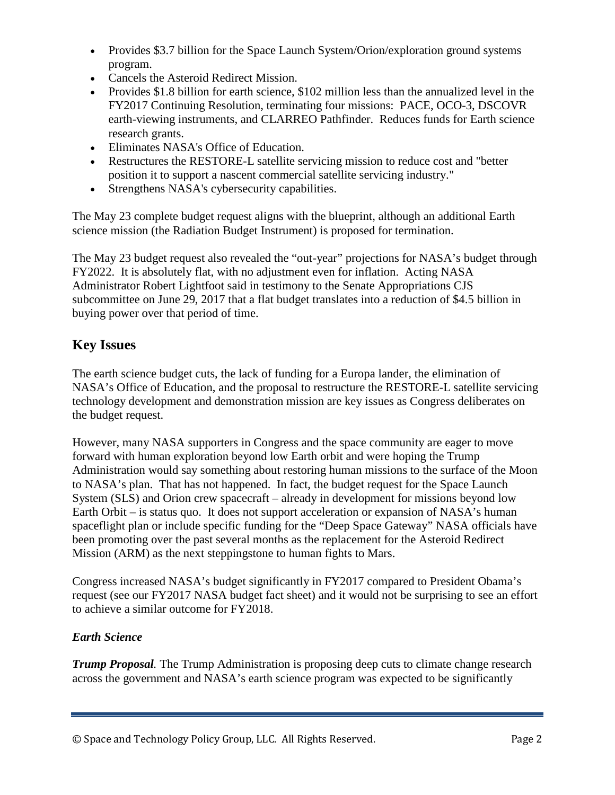- Provides \$3.7 billion for the Space Launch System/Orion/exploration ground systems program.
- Cancels the Asteroid Redirect Mission.
- Provides \$1.8 billion for earth science, \$102 million less than the annualized level in the FY2017 Continuing Resolution, terminating four missions: PACE, OCO-3, DSCOVR earth-viewing instruments, and CLARREO Pathfinder. Reduces funds for Earth science research grants.
- Eliminates NASA's Office of Education.
- Restructures the RESTORE-L satellite servicing mission to reduce cost and "better position it to support a nascent commercial satellite servicing industry."
- Strengthens NASA's cybersecurity capabilities.

The May 23 complete budget request aligns with the blueprint, although an additional Earth science mission (the Radiation Budget Instrument) is proposed for termination.

The May 23 budget request also revealed the "out-year" projections for NASA's budget through FY2022. It is absolutely flat, with no adjustment even for inflation. Acting NASA Administrator Robert Lightfoot said in testimony to the Senate Appropriations CJS subcommittee on June 29, 2017 that a flat budget translates into a reduction of \$4.5 billion in buying power over that period of time.

# **Key Issues**

The earth science budget cuts, the lack of funding for a Europa lander, the elimination of NASA's Office of Education, and the proposal to restructure the RESTORE-L satellite servicing technology development and demonstration mission are key issues as Congress deliberates on the budget request.

However, many NASA supporters in Congress and the space community are eager to move forward with human exploration beyond low Earth orbit and were hoping the Trump Administration would say something about restoring human missions to the surface of the Moon to NASA's plan. That has not happened. In fact, the budget request for the Space Launch System (SLS) and Orion crew spacecraft – already in development for missions beyond low Earth Orbit – is status quo. It does not support acceleration or expansion of NASA's human spaceflight plan or include specific funding for the "Deep Space Gateway" NASA officials have been promoting over the past several months as the replacement for the Asteroid Redirect Mission (ARM) as the next steppingstone to human fights to Mars.

Congress increased NASA's budget significantly in FY2017 compared to President Obama's request (see our FY2017 NASA budget fact sheet) and it would not be surprising to see an effort to achieve a similar outcome for FY2018.

## *Earth Science*

*Trump Proposal.* The Trump Administration is proposing deep cuts to climate change research across the government and NASA's earth science program was expected to be significantly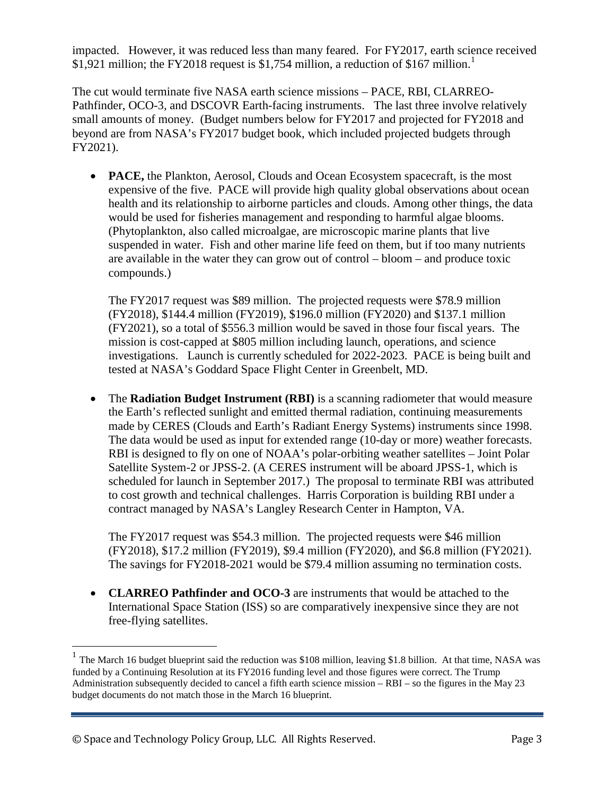impacted. However, it was reduced less than many feared. For FY2017, earth science received \$[1](#page-2-0),921 million; the FY2018 request is \$1,754 million, a reduction of \$167 million.<sup>1</sup>

The cut would terminate five NASA earth science missions – PACE, RBI, CLARREO-Pathfinder, OCO-3, and DSCOVR Earth-facing instruments. The last three involve relatively small amounts of money. (Budget numbers below for FY2017 and projected for FY2018 and beyond are from NASA's FY2017 budget book, which included projected budgets through FY2021).

• **PACE,** the Plankton, Aerosol, Clouds and Ocean Ecosystem spacecraft, is the most expensive of the five. PACE will provide high quality global observations about ocean health and its relationship to airborne particles and clouds. Among other things, the data would be used for fisheries management and responding to harmful algae blooms. (Phytoplankton, also called microalgae, are microscopic marine plants that live suspended in water. Fish and other marine life feed on them, but if too many nutrients are available in the water they can grow out of control – bloom – and produce toxic compounds.)

The FY2017 request was \$89 million. The projected requests were \$78.9 million (FY2018), \$144.4 million (FY2019), \$196.0 million (FY2020) and \$137.1 million (FY2021), so a total of \$556.3 million would be saved in those four fiscal years. The mission is cost-capped at \$805 million including launch, operations, and science investigations. Launch is currently scheduled for 2022-2023. PACE is being built and tested at NASA's Goddard Space Flight Center in Greenbelt, MD.

• The **Radiation Budget Instrument (RBI)** is a scanning radiometer that would measure the Earth's reflected sunlight and emitted thermal radiation, continuing measurements made by CERES (Clouds and Earth's Radiant Energy Systems) instruments since 1998. The data would be used as input for extended range (10-day or more) weather forecasts. RBI is designed to fly on one of NOAA's polar-orbiting weather satellites – Joint Polar Satellite System-2 or JPSS-2. (A CERES instrument will be aboard JPSS-1, which is scheduled for launch in September 2017.) The proposal to terminate RBI was attributed to cost growth and technical challenges. Harris Corporation is building RBI under a contract managed by NASA's Langley Research Center in Hampton, VA.

The FY2017 request was \$54.3 million. The projected requests were \$46 million (FY2018), \$17.2 million (FY2019), \$9.4 million (FY2020), and \$6.8 million (FY2021). The savings for FY2018-2021 would be \$79.4 million assuming no termination costs.

• **CLARREO Pathfinder and OCO-3** are instruments that would be attached to the International Space Station (ISS) so are comparatively inexpensive since they are not free-flying satellites.

<span id="page-2-0"></span><sup>&</sup>lt;sup>1</sup> The March 16 budget blueprint said the reduction was \$108 million, leaving \$1.8 billion. At that time, NASA was funded by a Continuing Resolution at its FY2016 funding level and those figures were correct. The Trump Administration subsequently decided to cancel a fifth earth science mission – RBI – so the figures in the May 23 budget documents do not match those in the March 16 blueprint.

<sup>©</sup> Space and Technology Policy Group, LLC. All Rights Reserved. Page 3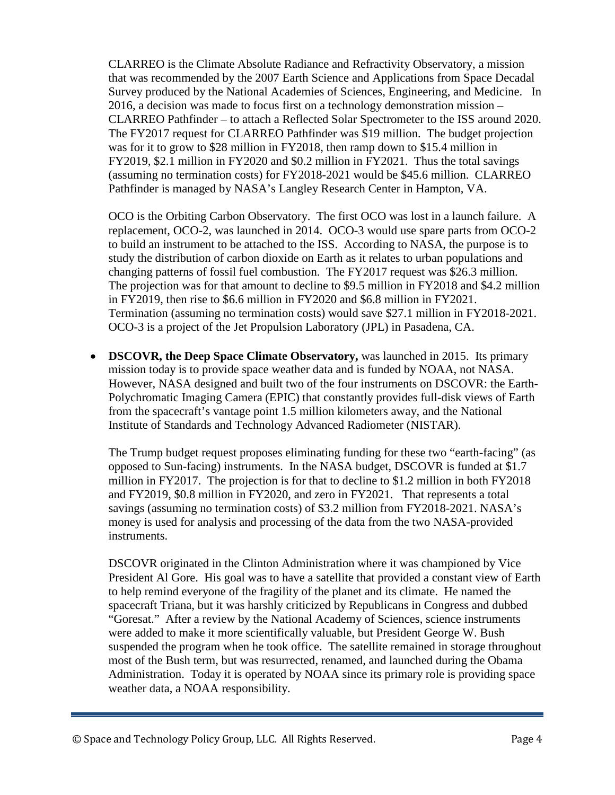CLARREO is the Climate Absolute Radiance and Refractivity Observatory, a mission that was recommended by the 2007 Earth Science and Applications from Space Decadal Survey produced by the National Academies of Sciences, Engineering, and Medicine. In 2016, a decision was made to focus first on a technology demonstration mission – CLARREO Pathfinder – to attach a Reflected Solar Spectrometer to the ISS around 2020. The FY2017 request for CLARREO Pathfinder was \$19 million. The budget projection was for it to grow to \$28 million in FY2018, then ramp down to \$15.4 million in FY2019, \$2.1 million in FY2020 and \$0.2 million in FY2021. Thus the total savings (assuming no termination costs) for FY2018-2021 would be \$45.6 million. CLARREO Pathfinder is managed by NASA's Langley Research Center in Hampton, VA.

OCO is the Orbiting Carbon Observatory. The first OCO was lost in a launch failure. A replacement, OCO-2, was launched in 2014. OCO-3 would use spare parts from OCO-2 to build an instrument to be attached to the ISS. According to NASA, the purpose is to study the distribution of carbon dioxide on Earth as it relates to urban populations and changing patterns of fossil fuel combustion. The FY2017 request was \$26.3 million. The projection was for that amount to decline to \$9.5 million in FY2018 and \$4.2 million in FY2019, then rise to \$6.6 million in FY2020 and \$6.8 million in FY2021. Termination (assuming no termination costs) would save \$27.1 million in FY2018-2021. OCO-3 is a project of the Jet Propulsion Laboratory (JPL) in Pasadena, CA.

• **DSCOVR, the Deep Space Climate Observatory,** was launched in 2015. Its primary mission today is to provide space weather data and is funded by NOAA, not NASA. However, NASA designed and built two of the four instruments on DSCOVR: the Earth-Polychromatic Imaging Camera (EPIC) that constantly provides full-disk views of Earth from the spacecraft's vantage point 1.5 million kilometers away, and the National Institute of Standards and Technology Advanced Radiometer (NISTAR).

The Trump budget request proposes eliminating funding for these two "earth-facing" (as opposed to Sun-facing) instruments. In the NASA budget, DSCOVR is funded at \$1.7 million in FY2017. The projection is for that to decline to \$1.2 million in both FY2018 and FY2019, \$0.8 million in FY2020, and zero in FY2021. That represents a total savings (assuming no termination costs) of \$3.2 million from FY2018-2021. NASA's money is used for analysis and processing of the data from the two NASA-provided instruments.

DSCOVR originated in the Clinton Administration where it was championed by Vice President Al Gore. His goal was to have a satellite that provided a constant view of Earth to help remind everyone of the fragility of the planet and its climate. He named the spacecraft Triana, but it was harshly criticized by Republicans in Congress and dubbed "Goresat." After a review by the National Academy of Sciences, science instruments were added to make it more scientifically valuable, but President George W. Bush suspended the program when he took office. The satellite remained in storage throughout most of the Bush term, but was resurrected, renamed, and launched during the Obama Administration. Today it is operated by NOAA since its primary role is providing space weather data, a NOAA responsibility.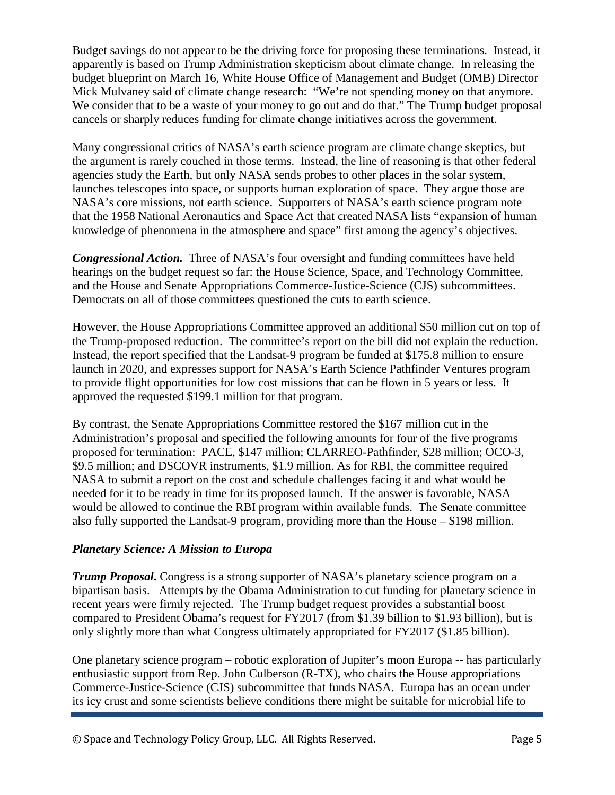Budget savings do not appear to be the driving force for proposing these terminations. Instead, it apparently is based on Trump Administration skepticism about climate change. In releasing the budget blueprint on March 16, White House Office of Management and Budget (OMB) Director Mick Mulvaney said of climate change research: "We're not spending money on that anymore. We consider that to be a waste of your money to go out and do that." The Trump budget proposal cancels or sharply reduces funding for climate change initiatives across the government.

Many congressional critics of NASA's earth science program are climate change skeptics, but the argument is rarely couched in those terms. Instead, the line of reasoning is that other federal agencies study the Earth, but only NASA sends probes to other places in the solar system, launches telescopes into space, or supports human exploration of space. They argue those are NASA's core missions, not earth science. Supporters of NASA's earth science program note that the 1958 National Aeronautics and Space Act that created NASA lists "expansion of human knowledge of phenomena in the atmosphere and space" first among the agency's objectives.

*Congressional Action.* Three of NASA's four oversight and funding committees have held hearings on the budget request so far: the House Science, Space, and Technology Committee, and the House and Senate Appropriations Commerce-Justice-Science (CJS) subcommittees. Democrats on all of those committees questioned the cuts to earth science.

However, the House Appropriations Committee approved an additional \$50 million cut on top of the Trump-proposed reduction. The committee's report on the bill did not explain the reduction. Instead, the report specified that the Landsat-9 program be funded at \$175.8 million to ensure launch in 2020, and expresses support for NASA's Earth Science Pathfinder Ventures program to provide flight opportunities for low cost missions that can be flown in 5 years or less. It approved the requested \$199.1 million for that program.

By contrast, the Senate Appropriations Committee restored the \$167 million cut in the Administration's proposal and specified the following amounts for four of the five programs proposed for termination: PACE, \$147 million; CLARREO-Pathfinder, \$28 million; OCO-3, \$9.5 million; and DSCOVR instruments, \$1.9 million. As for RBI, the committee required NASA to submit a report on the cost and schedule challenges facing it and what would be needed for it to be ready in time for its proposed launch. If the answer is favorable, NASA would be allowed to continue the RBI program within available funds. The Senate committee also fully supported the Landsat-9 program, providing more than the House – \$198 million.

### *Planetary Science: A Mission to Europa*

*Trump Proposal*. Congress is a strong supporter of NASA's planetary science program on a bipartisan basis. Attempts by the Obama Administration to cut funding for planetary science in recent years were firmly rejected. The Trump budget request provides a substantial boost compared to President Obama's request for FY2017 (from \$1.39 billion to \$1.93 billion), but is only slightly more than what Congress ultimately appropriated for FY2017 (\$1.85 billion).

One planetary science program – robotic exploration of Jupiter's moon Europa -- has particularly enthusiastic support from Rep. John Culberson (R-TX), who chairs the House appropriations Commerce-Justice-Science (CJS) subcommittee that funds NASA. Europa has an ocean under its icy crust and some scientists believe conditions there might be suitable for microbial life to

© Space and Technology Policy Group, LLC. All Rights Reserved. Page 5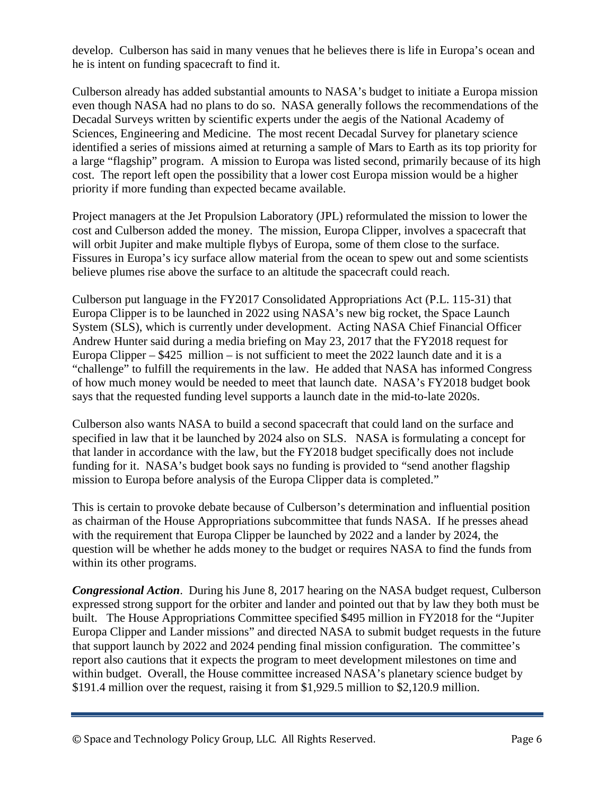develop. Culberson has said in many venues that he believes there is life in Europa's ocean and he is intent on funding spacecraft to find it.

Culberson already has added substantial amounts to NASA's budget to initiate a Europa mission even though NASA had no plans to do so. NASA generally follows the recommendations of the Decadal Surveys written by scientific experts under the aegis of the National Academy of Sciences, Engineering and Medicine. The most recent Decadal Survey for planetary science identified a series of missions aimed at returning a sample of Mars to Earth as its top priority for a large "flagship" program. A mission to Europa was listed second, primarily because of its high cost. The report left open the possibility that a lower cost Europa mission would be a higher priority if more funding than expected became available.

Project managers at the Jet Propulsion Laboratory (JPL) reformulated the mission to lower the cost and Culberson added the money. The mission, Europa Clipper, involves a spacecraft that will orbit Jupiter and make multiple flybys of Europa, some of them close to the surface. Fissures in Europa's icy surface allow material from the ocean to spew out and some scientists believe plumes rise above the surface to an altitude the spacecraft could reach.

Culberson put language in the FY2017 Consolidated Appropriations Act (P.L. 115-31) that Europa Clipper is to be launched in 2022 using NASA's new big rocket, the Space Launch System (SLS), which is currently under development. Acting NASA Chief Financial Officer Andrew Hunter said during a media briefing on May 23, 2017 that the FY2018 request for Europa Clipper –  $$425$  million – is not sufficient to meet the 2022 launch date and it is a "challenge" to fulfill the requirements in the law. He added that NASA has informed Congress of how much money would be needed to meet that launch date. NASA's FY2018 budget book says that the requested funding level supports a launch date in the mid-to-late 2020s.

Culberson also wants NASA to build a second spacecraft that could land on the surface and specified in law that it be launched by 2024 also on SLS. NASA is formulating a concept for that lander in accordance with the law, but the FY2018 budget specifically does not include funding for it. NASA's budget book says no funding is provided to "send another flagship mission to Europa before analysis of the Europa Clipper data is completed."

This is certain to provoke debate because of Culberson's determination and influential position as chairman of the House Appropriations subcommittee that funds NASA. If he presses ahead with the requirement that Europa Clipper be launched by 2022 and a lander by 2024, the question will be whether he adds money to the budget or requires NASA to find the funds from within its other programs.

*Congressional Action*. During his June 8, 2017 hearing on the NASA budget request, Culberson expressed strong support for the orbiter and lander and pointed out that by law they both must be built. The House Appropriations Committee specified \$495 million in FY2018 for the "Jupiter Europa Clipper and Lander missions" and directed NASA to submit budget requests in the future that support launch by 2022 and 2024 pending final mission configuration. The committee's report also cautions that it expects the program to meet development milestones on time and within budget. Overall, the House committee increased NASA's planetary science budget by \$191.4 million over the request, raising it from \$1,929.5 million to \$2,120.9 million.

<sup>©</sup> Space and Technology Policy Group, LLC. All Rights Reserved. Page 6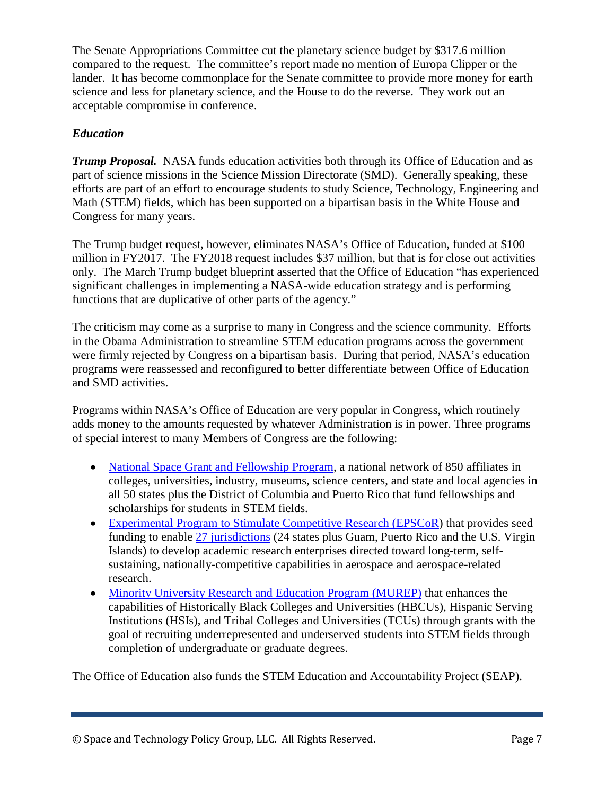The Senate Appropriations Committee cut the planetary science budget by \$317.6 million compared to the request. The committee's report made no mention of Europa Clipper or the lander. It has become commonplace for the Senate committee to provide more money for earth science and less for planetary science, and the House to do the reverse. They work out an acceptable compromise in conference.

### *Education*

*Trump Proposal.* NASA funds education activities both through its Office of Education and as part of science missions in the Science Mission Directorate (SMD). Generally speaking, these efforts are part of an effort to encourage students to study Science, Technology, Engineering and Math (STEM) fields, which has been supported on a bipartisan basis in the White House and Congress for many years.

The Trump budget request, however, eliminates NASA's Office of Education, funded at \$100 million in FY2017. The FY2018 request includes \$37 million, but that is for close out activities only. The March Trump budget blueprint asserted that the Office of Education "has experienced significant challenges in implementing a NASA-wide education strategy and is performing functions that are duplicative of other parts of the agency."

The criticism may come as a surprise to many in Congress and the science community. Efforts in the Obama Administration to streamline STEM education programs across the government were firmly rejected by Congress on a bipartisan basis. During that period, NASA's education programs were reassessed and reconfigured to better differentiate between Office of Education and SMD activities.

Programs within NASA's Office of Education are very popular in Congress, which routinely adds money to the amounts requested by whatever Administration is in power. Three programs of special interest to many Members of Congress are the following:

- [National Space Grant and Fellowship Program,](https://www.nasa.gov/offices/education/programs/national/spacegrant/about/index.html) a national network of 850 affiliates in colleges, universities, industry, museums, science centers, and state and local agencies in all 50 states plus the District of Columbia and Puerto Rico that fund fellowships and scholarships for students in STEM fields.
- [Experimental Program to Stimulate Competitive Research \(EPSCoR\)](https://www.nasa.gov/offices/education/programs/national/epscor/home/index.html) that provides seed funding to enable [27 jurisdictions](https://www.nasa.gov/offices/education/programs/national/epscor/home/EPSCoR_Directors.html) (24 states plus Guam, Puerto Rico and the U.S. Virgin Islands) to develop academic research enterprises directed toward long-term, selfsustaining, nationally-competitive capabilities in aerospace and aerospace-related research.
- [Minority University Research and Education Program \(MUREP\)](https://www.nasa.gov/offices/education/programs/national/murep/about/index.html#.WM1sJW8rKpo) that enhances the capabilities of Historically Black Colleges and Universities (HBCUs), Hispanic Serving Institutions (HSIs), and Tribal Colleges and Universities (TCUs) through grants with the goal of recruiting underrepresented and underserved students into STEM fields through completion of undergraduate or graduate degrees.

The Office of Education also funds the STEM Education and Accountability Project (SEAP).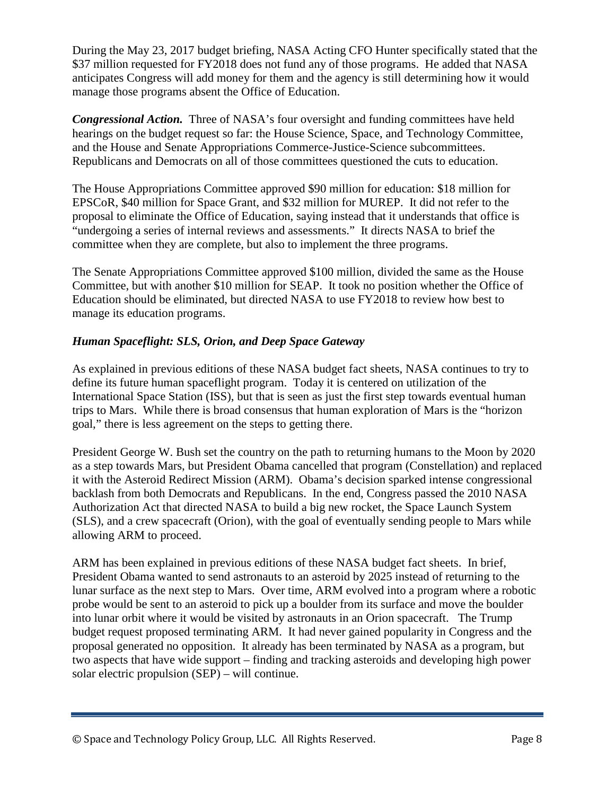During the May 23, 2017 budget briefing, NASA Acting CFO Hunter specifically stated that the \$37 million requested for FY2018 does not fund any of those programs. He added that NASA anticipates Congress will add money for them and the agency is still determining how it would manage those programs absent the Office of Education.

*Congressional Action.* Three of NASA's four oversight and funding committees have held hearings on the budget request so far: the House Science, Space, and Technology Committee, and the House and Senate Appropriations Commerce-Justice-Science subcommittees. Republicans and Democrats on all of those committees questioned the cuts to education.

The House Appropriations Committee approved \$90 million for education: \$18 million for EPSCoR, \$40 million for Space Grant, and \$32 million for MUREP. It did not refer to the proposal to eliminate the Office of Education, saying instead that it understands that office is "undergoing a series of internal reviews and assessments." It directs NASA to brief the committee when they are complete, but also to implement the three programs.

The Senate Appropriations Committee approved \$100 million, divided the same as the House Committee, but with another \$10 million for SEAP. It took no position whether the Office of Education should be eliminated, but directed NASA to use FY2018 to review how best to manage its education programs.

### *Human Spaceflight: SLS, Orion, and Deep Space Gateway*

As explained in previous editions of these NASA budget fact sheets, NASA continues to try to define its future human spaceflight program. Today it is centered on utilization of the International Space Station (ISS), but that is seen as just the first step towards eventual human trips to Mars. While there is broad consensus that human exploration of Mars is the "horizon goal," there is less agreement on the steps to getting there.

President George W. Bush set the country on the path to returning humans to the Moon by 2020 as a step towards Mars, but President Obama cancelled that program (Constellation) and replaced it with the Asteroid Redirect Mission (ARM). Obama's decision sparked intense congressional backlash from both Democrats and Republicans. In the end, Congress passed the 2010 NASA Authorization Act that directed NASA to build a big new rocket, the Space Launch System (SLS), and a crew spacecraft (Orion), with the goal of eventually sending people to Mars while allowing ARM to proceed.

ARM has been explained in previous editions of these NASA budget fact sheets. In brief, President Obama wanted to send astronauts to an asteroid by 2025 instead of returning to the lunar surface as the next step to Mars. Over time, ARM evolved into a program where a robotic probe would be sent to an asteroid to pick up a boulder from its surface and move the boulder into lunar orbit where it would be visited by astronauts in an Orion spacecraft. The Trump budget request proposed terminating ARM. It had never gained popularity in Congress and the proposal generated no opposition. It already has been terminated by NASA as a program, but two aspects that have wide support – finding and tracking asteroids and developing high power solar electric propulsion (SEP) – will continue.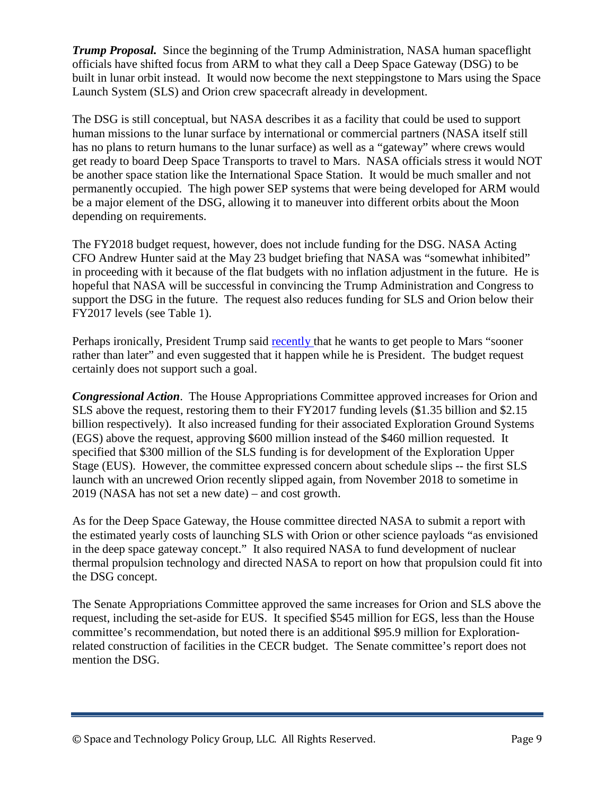*Trump Proposal.* Since the beginning of the Trump Administration, NASA human spaceflight officials have shifted focus from ARM to what they call a Deep Space Gateway (DSG) to be built in lunar orbit instead. It would now become the next steppingstone to Mars using the Space Launch System (SLS) and Orion crew spacecraft already in development.

The DSG is still conceptual, but NASA describes it as a facility that could be used to support human missions to the lunar surface by international or commercial partners (NASA itself still has no plans to return humans to the lunar surface) as well as a "gateway" where crews would get ready to board Deep Space Transports to travel to Mars. NASA officials stress it would NOT be another space station like the International Space Station. It would be much smaller and not permanently occupied. The high power SEP systems that were being developed for ARM would be a major element of the DSG, allowing it to maneuver into different orbits about the Moon depending on requirements.

The FY2018 budget request, however, does not include funding for the DSG. NASA Acting CFO Andrew Hunter said at the May 23 budget briefing that NASA was "somewhat inhibited" in proceeding with it because of the flat budgets with no inflation adjustment in the future. He is hopeful that NASA will be successful in convincing the Trump Administration and Congress to support the DSG in the future. The request also reduces funding for SLS and Orion below their FY2017 levels (see Table 1).

Perhaps ironically, President Trump said [recently t](http://www.spacepolicyonline.com/news/trump-wants-to-get-to-mars-sooner-rather-than-later)hat he wants to get people to Mars "sooner rather than later" and even suggested that it happen while he is President. The budget request certainly does not support such a goal.

*Congressional Action*. The House Appropriations Committee approved increases for Orion and SLS above the request, restoring them to their FY2017 funding levels (\$1.35 billion and \$2.15 billion respectively). It also increased funding for their associated Exploration Ground Systems (EGS) above the request, approving \$600 million instead of the \$460 million requested. It specified that \$300 million of the SLS funding is for development of the Exploration Upper Stage (EUS). However, the committee expressed concern about schedule slips -- the first SLS launch with an uncrewed Orion recently slipped again, from November 2018 to sometime in 2019 (NASA has not set a new date) – and cost growth.

As for the Deep Space Gateway, the House committee directed NASA to submit a report with the estimated yearly costs of launching SLS with Orion or other science payloads "as envisioned in the deep space gateway concept." It also required NASA to fund development of nuclear thermal propulsion technology and directed NASA to report on how that propulsion could fit into the DSG concept.

The Senate Appropriations Committee approved the same increases for Orion and SLS above the request, including the set-aside for EUS. It specified \$545 million for EGS, less than the House committee's recommendation, but noted there is an additional \$95.9 million for Explorationrelated construction of facilities in the CECR budget. The Senate committee's report does not mention the DSG.

<sup>©</sup> Space and Technology Policy Group, LLC. All Rights Reserved. Page 9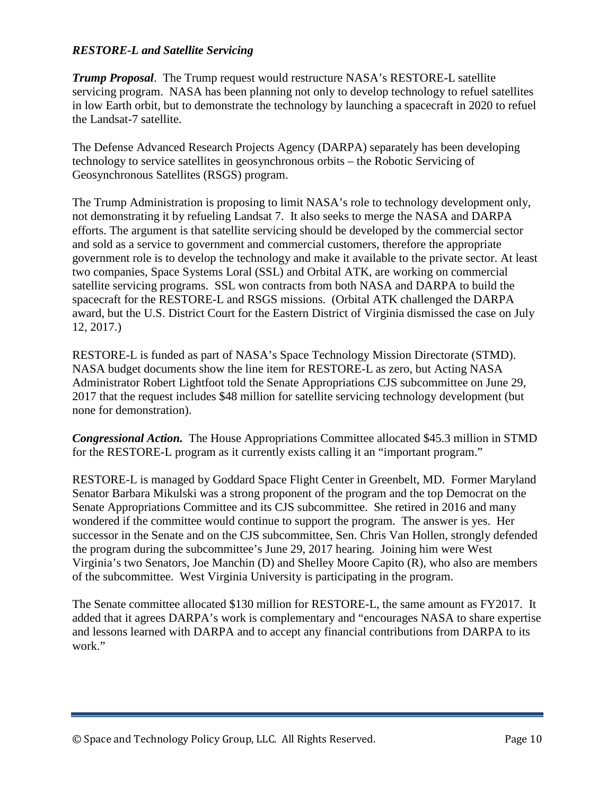#### *RESTORE-L and Satellite Servicing*

*Trump Proposal*. The Trump request would restructure NASA's RESTORE-L satellite servicing program. NASA has been planning not only to develop technology to refuel satellites in low Earth orbit, but to demonstrate the technology by launching a spacecraft in 2020 to refuel the Landsat-7 satellite.

The Defense Advanced Research Projects Agency (DARPA) separately has been developing technology to service satellites in geosynchronous orbits – the Robotic Servicing of Geosynchronous Satellites (RSGS) program.

The Trump Administration is proposing to limit NASA's role to technology development only, not demonstrating it by refueling Landsat 7. It also seeks to merge the NASA and DARPA efforts. The argument is that satellite servicing should be developed by the commercial sector and sold as a service to government and commercial customers, therefore the appropriate government role is to develop the technology and make it available to the private sector. At least two companies, Space Systems Loral (SSL) and Orbital ATK, are working on commercial satellite servicing programs. SSL won contracts from both NASA and DARPA to build the spacecraft for the RESTORE-L and RSGS missions. (Orbital ATK challenged the DARPA award, but the U.S. District Court for the Eastern District of Virginia dismissed the case on July 12, 2017.)

RESTORE-L is funded as part of NASA's Space Technology Mission Directorate (STMD). NASA budget documents show the line item for RESTORE-L as zero, but Acting NASA Administrator Robert Lightfoot told the Senate Appropriations CJS subcommittee on June 29, 2017 that the request includes \$48 million for satellite servicing technology development (but none for demonstration).

*Congressional Action.* The House Appropriations Committee allocated \$45.3 million in STMD for the RESTORE-L program as it currently exists calling it an "important program."

RESTORE-L is managed by Goddard Space Flight Center in Greenbelt, MD. Former Maryland Senator Barbara Mikulski was a strong proponent of the program and the top Democrat on the Senate Appropriations Committee and its CJS subcommittee. She retired in 2016 and many wondered if the committee would continue to support the program. The answer is yes. Her successor in the Senate and on the CJS subcommittee, Sen. Chris Van Hollen, strongly defended the program during the subcommittee's June 29, 2017 hearing. Joining him were West Virginia's two Senators, Joe Manchin (D) and Shelley Moore Capito (R), who also are members of the subcommittee. West Virginia University is participating in the program.

The Senate committee allocated \$130 million for RESTORE-L, the same amount as FY2017. It added that it agrees DARPA's work is complementary and "encourages NASA to share expertise and lessons learned with DARPA and to accept any financial contributions from DARPA to its work."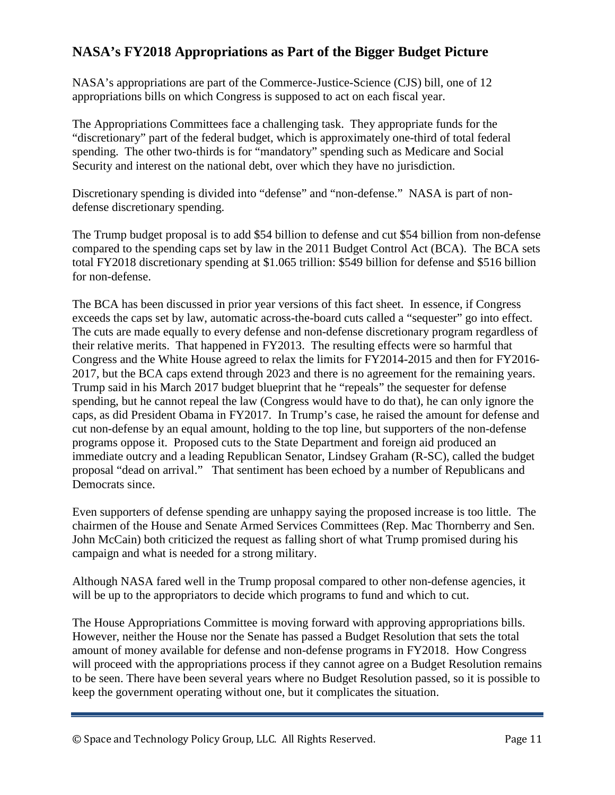# **NASA's FY2018 Appropriations as Part of the Bigger Budget Picture**

NASA's appropriations are part of the Commerce-Justice-Science (CJS) bill, one of 12 appropriations bills on which Congress is supposed to act on each fiscal year.

The Appropriations Committees face a challenging task. They appropriate funds for the "discretionary" part of the federal budget, which is approximately one-third of total federal spending. The other two-thirds is for "mandatory" spending such as Medicare and Social Security and interest on the national debt, over which they have no jurisdiction.

Discretionary spending is divided into "defense" and "non-defense." NASA is part of nondefense discretionary spending.

The Trump budget proposal is to add \$54 billion to defense and cut \$54 billion from non-defense compared to the spending caps set by law in the 2011 Budget Control Act (BCA). The BCA sets total FY2018 discretionary spending at \$1.065 trillion: \$549 billion for defense and \$516 billion for non-defense.

The BCA has been discussed in prior year versions of this fact sheet. In essence, if Congress exceeds the caps set by law, automatic across-the-board cuts called a "sequester" go into effect. The cuts are made equally to every defense and non-defense discretionary program regardless of their relative merits. That happened in FY2013. The resulting effects were so harmful that Congress and the White House agreed to relax the limits for FY2014-2015 and then for FY2016- 2017, but the BCA caps extend through 2023 and there is no agreement for the remaining years. Trump said in his March 2017 budget blueprint that he "repeals" the sequester for defense spending, but he cannot repeal the law (Congress would have to do that), he can only ignore the caps, as did President Obama in FY2017. In Trump's case, he raised the amount for defense and cut non-defense by an equal amount, holding to the top line, but supporters of the non-defense programs oppose it. Proposed cuts to the State Department and foreign aid produced an immediate outcry and a leading Republican Senator, Lindsey Graham (R-SC), called the budget proposal "dead on arrival." That sentiment has been echoed by a number of Republicans and Democrats since.

Even supporters of defense spending are unhappy saying the proposed increase is too little. The chairmen of the House and Senate Armed Services Committees (Rep. Mac Thornberry and Sen. John McCain) both criticized the request as falling short of what Trump promised during his campaign and what is needed for a strong military.

Although NASA fared well in the Trump proposal compared to other non-defense agencies, it will be up to the appropriators to decide which programs to fund and which to cut.

The House Appropriations Committee is moving forward with approving appropriations bills. However, neither the House nor the Senate has passed a Budget Resolution that sets the total amount of money available for defense and non-defense programs in FY2018. How Congress will proceed with the appropriations process if they cannot agree on a Budget Resolution remains to be seen. There have been several years where no Budget Resolution passed, so it is possible to keep the government operating without one, but it complicates the situation.

© Space and Technology Policy Group, LLC. All Rights Reserved. Page 11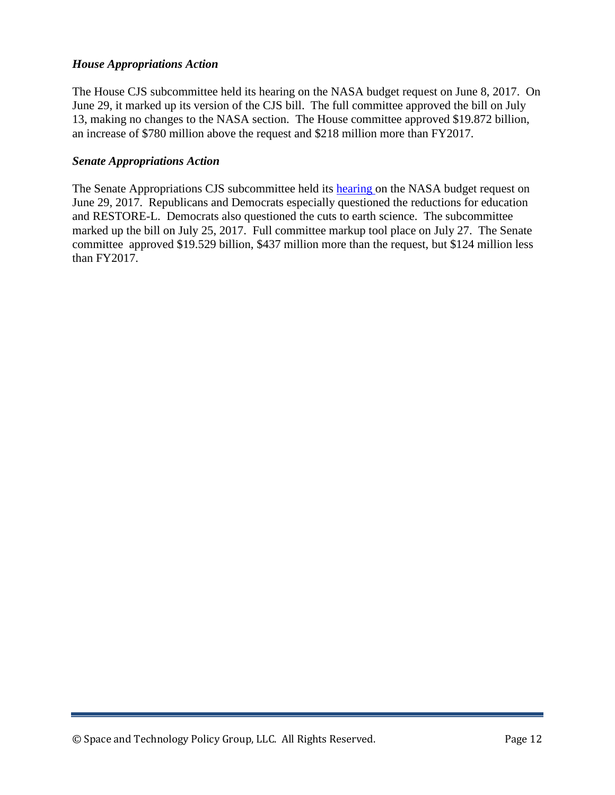#### *House Appropriations Action*

The House CJS subcommittee held its hearing on the NASA budget request on June 8, 2017. On June 29, it marked up its version of the CJS bill. The full committee approved the bill on July 13, making no changes to the NASA section. The House committee approved \$19.872 billion, an increase of \$780 million above the request and \$218 million more than FY2017.

#### *Senate Appropriations Action*

The Senate Appropriations CJS subcommittee held its [hearing o](http://www.spacepolicyonline.com/news/nasa-fy2018-funding-bill-advances-in-congress)n the NASA budget request on June 29, 2017. Republicans and Democrats especially questioned the reductions for education and RESTORE-L. Democrats also questioned the cuts to earth science. The subcommittee marked up the bill on July 25, 2017. Full committee markup tool place on July 27. The Senate committee approved \$19.529 billion, \$437 million more than the request, but \$124 million less than FY2017.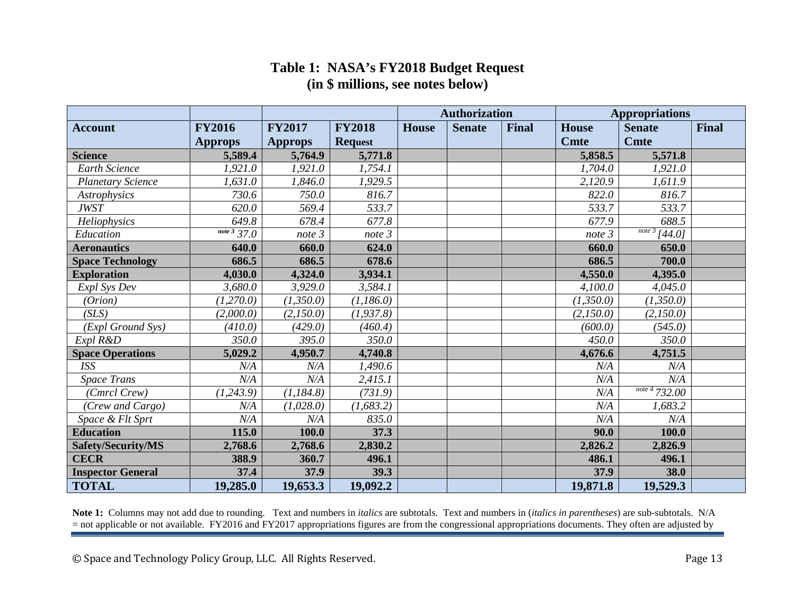## **Table 1: NASA's FY2018 Budget Request (in \$ millions, see notes below)**

|                          |                                     |                |                | <b>Authorization</b> |               |              | <b>Appropriations</b> |                                         |              |
|--------------------------|-------------------------------------|----------------|----------------|----------------------|---------------|--------------|-----------------------|-----------------------------------------|--------------|
| <b>Account</b>           | <b>FY2016</b>                       | <b>FY2017</b>  | <b>FY2018</b>  | <b>House</b>         | <b>Senate</b> | <b>Final</b> | <b>House</b>          | <b>Senate</b>                           | <b>Final</b> |
|                          | <b>Approps</b>                      | <b>Approps</b> | <b>Request</b> |                      |               |              | <b>Cmte</b>           | <b>Cmte</b>                             |              |
| <b>Science</b>           | 5,589.4                             | 5,764.9        | 5,771.8        |                      |               |              | 5,858.5               | 5,571.8                                 |              |
| Earth Science            | 1,921.0                             | 1,921.0        | 1,754.1        |                      |               |              | 1,704.0               | 1,921.0                                 |              |
| <b>Planetary Science</b> | 1,631.0                             | 1,846.0        | 1,929.5        |                      |               |              | 2,120.9               | 1,611.9                                 |              |
| Astrophysics             | 730.6                               | 750.0          | 816.7          |                      |               |              | 822.0                 | 816.7                                   |              |
| <b>JWST</b>              | 620.0                               | 569.4          | 533.7          |                      |               |              | 533.7                 | 533.7                                   |              |
| Heliophysics             | 649.8                               | 678.4          | 677.8          |                      |               |              | 677.9                 | 688.5                                   |              |
| Education                | $\overline{note\,3\overline{37}}.0$ | note 3         | note 3         |                      |               |              | note 3                | $\frac{1}{\sqrt{100}}$ $\frac{3}{44.0}$ |              |
| <b>Aeronautics</b>       | 640.0                               | 660.0          | 624.0          |                      |               |              | 660.0                 | 650.0                                   |              |
| <b>Space Technology</b>  | 686.5                               | 686.5          | 678.6          |                      |               |              | 686.5                 | 700.0                                   |              |
| <b>Exploration</b>       | 4,030.0                             | 4,324.0        | 3,934.1        |                      |               |              | 4,550.0               | 4,395.0                                 |              |
| Expl Sys Dev             | 3,680.0                             | 3,929.0        | 3,584.1        |                      |               |              | 4,100.0               | 4,045.0                                 |              |
| (Orion)                  | (1,270.0)                           | (1,350.0)      | (1,186.0)      |                      |               |              | (1,350.0)             | (1,350.0)                               |              |
| (SLS)                    | (2,000.0)                           | (2,150.0)      | (1, 937.8)     |                      |               |              | (2,150.0)             | (2,150.0)                               |              |
| (Expl Ground Sys)        | (410.0)                             | (429.0)        | (460.4)        |                      |               |              | (600.0)               | (545.0)                                 |              |
| Expl R&D                 | 350.0                               | 395.0          | 350.0          |                      |               |              | 450.0                 | 350.0                                   |              |
| <b>Space Operations</b>  | 5,029.2                             | 4,950.7        | 4,740.8        |                      |               |              | 4,676.6               | 4,751.5                                 |              |
| <b>ISS</b>               | N/A                                 | N/A            | 1,490.6        |                      |               |              | N/A                   | N/A                                     |              |
| <b>Space Trans</b>       | N/A                                 | N/A            | 2,415.1        |                      |               |              | N/A                   | N/A                                     |              |
| (Cmrcl Crew)             | (1, 243.9)                          | (1, 184.8)     | (731.9)        |                      |               |              | N/A                   | $\frac{note\ 4}{732.00}$                |              |
| (Crew and Cargo)         | N/A                                 | (1,028.0)      | (1, 683.2)     |                      |               |              | N/A                   | 1,683.2                                 |              |
| Space & Flt Sprt         | N/A                                 | N/A            | 835.0          |                      |               |              | N/A                   | N/A                                     |              |
| <b>Education</b>         | 115.0                               | 100.0          | 37.3           |                      |               |              | 90.0                  | 100.0                                   |              |
| Safety/Security/MS       | 2,768.6                             | 2,768.6        | 2,830.2        |                      |               |              | 2,826.2               | 2,826.9                                 |              |
| <b>CECR</b>              | 388.9                               | 360.7          | 496.1          |                      |               |              | 486.1                 | 496.1                                   |              |
| <b>Inspector General</b> | 37.4                                | 37.9           | 39.3           |                      |               |              | 37.9                  | 38.0                                    |              |
| <b>TOTAL</b>             | 19,285.0                            | 19,653.3       | 19,092.2       |                      |               |              | 19,871.8              | 19,529.3                                |              |

**Note 1:** Columns may not add due to rounding. Text and numbers in *italics* are subtotals. Text and numbers in (*italics in parentheses*) are sub-subtotals. N/A = not applicable or not available. FY2016 and FY2017 appropriations figures are from the congressional appropriations documents. They often are adjusted by

© Space and Technology Policy Group, LLC. All Rights Reserved. Page 13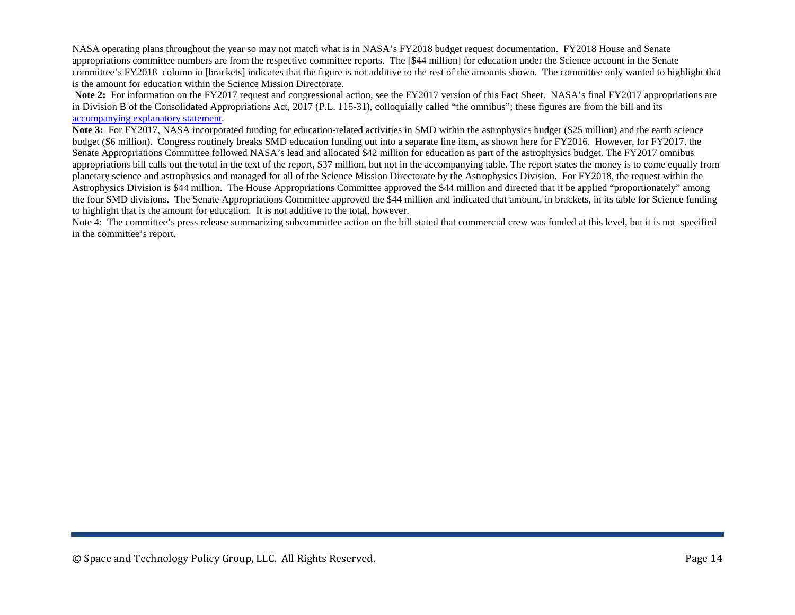NASA operating plans throughout the year so may not match what is in NASA's FY2018 budget request documentation. FY2018 House and Senate appropriations committee numbers are from the respective committee reports. The [\$44 million] for education under the Science account in the Senate committee's FY2018 column in [brackets] indicates that the figure is not additive to the rest of the amounts shown. The committee only wanted to highlight that is the amount for education within the Science Mission Directorate.

Note 2: For information on the FY2017 request and congressional action, see the FY2017 version of this Fact Sheet. NASA's final FY2017 appropriations are in Division B of the Consolidated Appropriations Act, 2017 (P.L. 115-31), colloquially called "the omnibus"; these figures are from the bill and its [accompanying explanatory statement.](https://rules.house.gov/sites/republicans.rules.house.gov/files/115/OMNI/DIVISION%20B%20-%20CJS%20SOM%20OCR%20FY17.pdf)

**Note 3:** For FY2017, NASA incorporated funding for education-related activities in SMD within the astrophysics budget (\$25 million) and the earth science budget (\$6 million). Congress routinely breaks SMD education funding out into a separate line item, as shown here for FY2016. However, for FY2017, the Senate Appropriations Committee followed NASA's lead and allocated \$42 million for education as part of the astrophysics budget. The FY2017 omnibus appropriations bill calls out the total in the text of the report, \$37 million, but not in the accompanying table. The report states the money is to come equally from planetary science and astrophysics and managed for all of the Science Mission Directorate by the Astrophysics Division. For FY2018, the request within the Astrophysics Division is \$44 million. The House Appropriations Committee approved the \$44 million and directed that it be applied "proportionately" among the four SMD divisions. The Senate Appropriations Committee approved the \$44 million and indicated that amount, in brackets, in its table for Science funding to highlight that is the amount for education. It is not additive to the total, however.

Note 4: The committee's press release summarizing subcommittee action on the bill stated that commercial crew was funded at this level, but it is not specified in the committee's report.